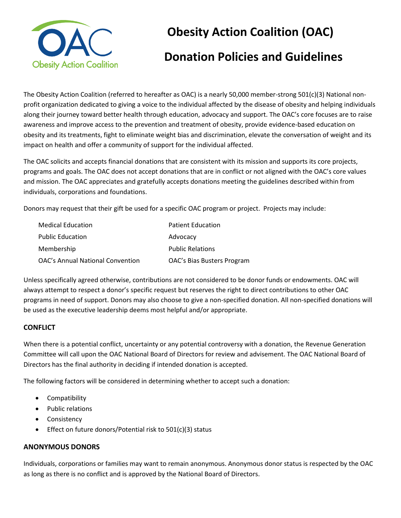

# **Obesity Action Coalition (OAC)**

## **Donation Policies and Guidelines**

The Obesity Action Coalition (referred to hereafter as OAC) is a nearly 50,000 member-strong 501(c)(3) National nonprofit organization dedicated to giving a voice to the individual affected by the disease of obesity and helping individuals along their journey toward better health through education, advocacy and support. The OAC's core focuses are to raise awareness and improve access to the prevention and treatment of obesity, provide evidence-based education on obesity and its treatments, fight to eliminate weight bias and discrimination, elevate the conversation of weight and its impact on health and offer a community of support for the individual affected.

The OAC solicits and accepts financial donations that are consistent with its mission and supports its core projects, programs and goals. The OAC does not accept donations that are in conflict or not aligned with the OAC's core values and mission. The OAC appreciates and gratefully accepts donations meeting the guidelines described within from individuals, corporations and foundations.

Donors may request that their gift be used for a specific OAC program or project. Projects may include:

| <b>Medical Education</b>         | <b>Patient Education</b>   |
|----------------------------------|----------------------------|
| <b>Public Education</b>          | Advocacy                   |
| Membership                       | <b>Public Relations</b>    |
| OAC's Annual National Convention | OAC's Bias Busters Program |

Unless specifically agreed otherwise, contributions are not considered to be donor funds or endowments. OAC will always attempt to respect a donor's specific request but reserves the right to direct contributions to other OAC programs in need of support. Donors may also choose to give a non-specified donation. All non-specified donations will be used as the executive leadership deems most helpful and/or appropriate.

### **CONFLICT**

When there is a potential conflict, uncertainty or any potential controversy with a donation, the Revenue Generation Committee will call upon the OAC National Board of Directors for review and advisement. The OAC National Board of Directors has the final authority in deciding if intended donation is accepted.

The following factors will be considered in determining whether to accept such a donation:

- Compatibility
- Public relations
- Consistency
- Effect on future donors/Potential risk to  $501(c)(3)$  status

#### **ANONYMOUS DONORS**

Individuals, corporations or families may want to remain anonymous. Anonymous donor status is respected by the OAC as long as there is no conflict and is approved by the National Board of Directors.